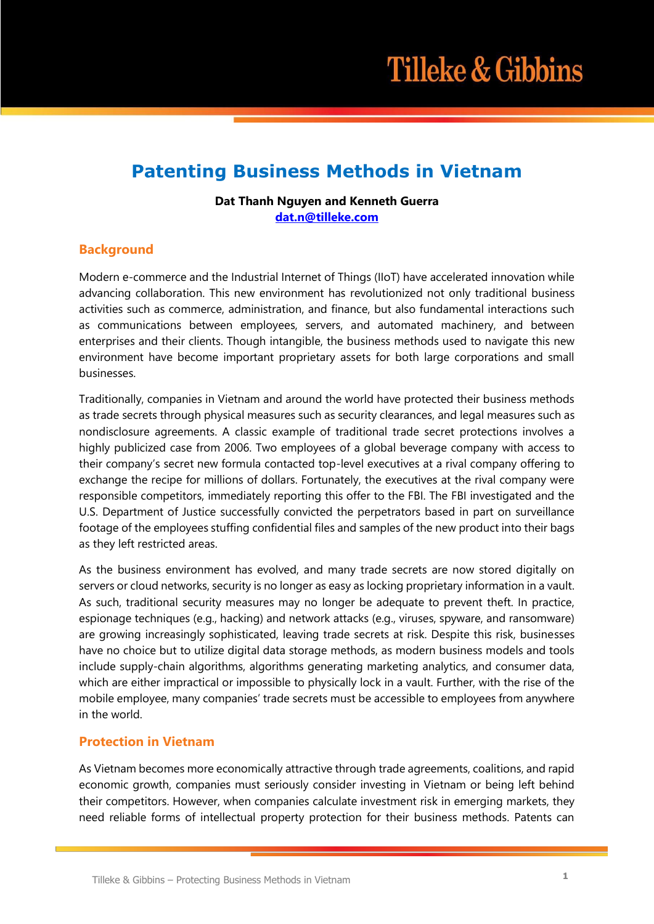# **Patenting Business Methods in Vietnam**

### **Dat Thanh Nguyen and Kenneth Guerra [dat.n@tilleke.com](mailto:dat.n@tilleke.com)**

## **Background**

Modern e-commerce and the Industrial Internet of Things (IIoT) have accelerated innovation while advancing collaboration. This new environment has revolutionized not only traditional business activities such as commerce, administration, and finance, but also fundamental interactions such as communications between employees, servers, and automated machinery, and between enterprises and their clients. Though intangible, the business methods used to navigate this new environment have become important proprietary assets for both large corporations and small businesses.

Traditionally, companies in Vietnam and around the world have protected their business methods as trade secrets through physical measures such as security clearances, and legal measures such as nondisclosure agreements. A classic example of traditional trade secret protections involves a highly publicized case from 2006. Two employees of a global beverage company with access to their company's secret new formula contacted top-level executives at a rival company offering to exchange the recipe for millions of dollars. Fortunately, the executives at the rival company were responsible competitors, immediately reporting this offer to the FBI. The FBI investigated and the U.S. Department of Justice successfully convicted the perpetrators based in part on surveillance footage of the employees stuffing confidential files and samples of the new product into their bags as they left restricted areas.

As the business environment has evolved, and many trade secrets are now stored digitally on servers or cloud networks, security is no longer as easy as locking proprietary information in a vault. As such, traditional security measures may no longer be adequate to prevent theft. In practice, espionage techniques (e.g., hacking) and network attacks (e.g., viruses, spyware, and ransomware) are growing increasingly sophisticated, leaving trade secrets at risk. Despite this risk, businesses have no choice but to utilize digital data storage methods, as modern business models and tools include supply-chain algorithms, algorithms generating marketing analytics, and consumer data, which are either impractical or impossible to physically lock in a vault. Further, with the rise of the mobile employee, many companies' trade secrets must be accessible to employees from anywhere in the world.

## **Protection in Vietnam**

As Vietnam becomes more economically attractive through trade agreements, coalitions, and rapid economic growth, companies must seriously consider investing in Vietnam or being left behind their competitors. However, when companies calculate investment risk in emerging markets, they need reliable forms of intellectual property protection for their business methods. Patents can